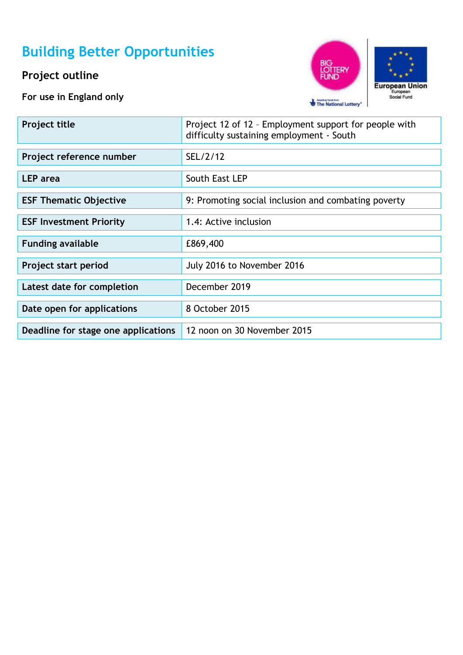# **Building Better Opportunities**

## **Project outline**

**For use in England only**





| <b>Project title</b>                | Project 12 of 12 - Employment support for people with<br>difficulty sustaining employment - South |
|-------------------------------------|---------------------------------------------------------------------------------------------------|
| Project reference number            | SEL/2/12                                                                                          |
| <b>LEP</b> area                     | South East LEP                                                                                    |
| <b>ESF Thematic Objective</b>       | 9: Promoting social inclusion and combating poverty                                               |
| <b>ESF Investment Priority</b>      | 1.4: Active inclusion                                                                             |
| <b>Funding available</b>            | £869,400                                                                                          |
| Project start period                | July 2016 to November 2016                                                                        |
| Latest date for completion          | December 2019                                                                                     |
| Date open for applications          | 8 October 2015                                                                                    |
| Deadline for stage one applications | 12 noon on 30 November 2015                                                                       |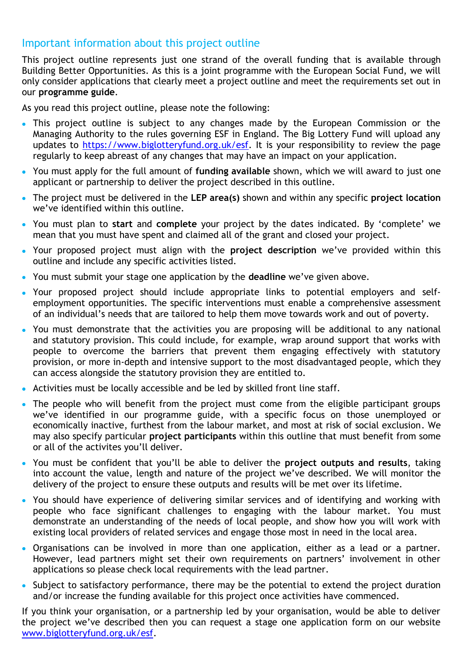### Important information about this project outline

This project outline represents just one strand of the overall funding that is available through Building Better Opportunities. As this is a joint programme with the European Social Fund, we will only consider applications that clearly meet a project outline and meet the requirements set out in our **programme guide**.

As you read this project outline, please note the following:

- This project outline is subject to any changes made by the European Commission or the Managing Authority to the rules governing ESF in England. The Big Lottery Fund will upload any updates to [https://www.biglotteryfund.org.uk/esf.](https://www.biglotteryfund.org.uk/esf) It is your responsibility to review the page regularly to keep abreast of any changes that may have an impact on your application.
- You must apply for the full amount of **funding available** shown, which we will award to just one applicant or partnership to deliver the project described in this outline.
- The project must be delivered in the **LEP area(s)** shown and within any specific **project location** we've identified within this outline.
- You must plan to **start** and **complete** your project by the dates indicated. By 'complete' we mean that you must have spent and claimed all of the grant and closed your project.
- Your proposed project must align with the **project description** we've provided within this outline and include any specific activities listed.
- You must submit your stage one application by the **deadline** we've given above.
- Your proposed project should include appropriate links to potential employers and selfemployment opportunities. The specific interventions must enable a comprehensive assessment of an individual's needs that are tailored to help them move towards work and out of poverty.
- You must demonstrate that the activities you are proposing will be additional to any national and statutory provision. This could include, for example, wrap around support that works with people to overcome the barriers that prevent them engaging effectively with statutory provision, or more in-depth and intensive support to the most disadvantaged people, which they can access alongside the statutory provision they are entitled to.
- Activities must be locally accessible and be led by skilled front line staff.
- The people who will benefit from the project must come from the eligible participant groups  $\bullet$ we've identified in our programme guide, with a specific focus on those unemployed or economically inactive, furthest from the labour market, and most at risk of social exclusion. We may also specify particular **project participants** within this outline that must benefit from some or all of the activites you'll deliver.
- You must be confident that you'll be able to deliver the **project outputs and results**, taking into account the value, length and nature of the project we've described. We will monitor the delivery of the project to ensure these outputs and results will be met over its lifetime.
- You should have experience of delivering similar services and of identifying and working with  $\bullet$ people who face significant challenges to engaging with the labour market. You must demonstrate an understanding of the needs of local people, and show how you will work with existing local providers of related services and engage those most in need in the local area.
- Organisations can be involved in more than one application, either as a lead or a partner. However, lead partners might set their own requirements on partners' involvement in other applications so please check local requirements with the lead partner.
- Subject to satisfactory performance, there may be the potential to extend the project duration and/or increase the funding available for this project once activities have commenced.

If you think your organisation, or a partnership led by your organisation, would be able to deliver the project we've described then you can request a stage one application form on our website [www.biglotteryfund.org.uk/esf.](http://www.biglotteryfund.org.uk/esf)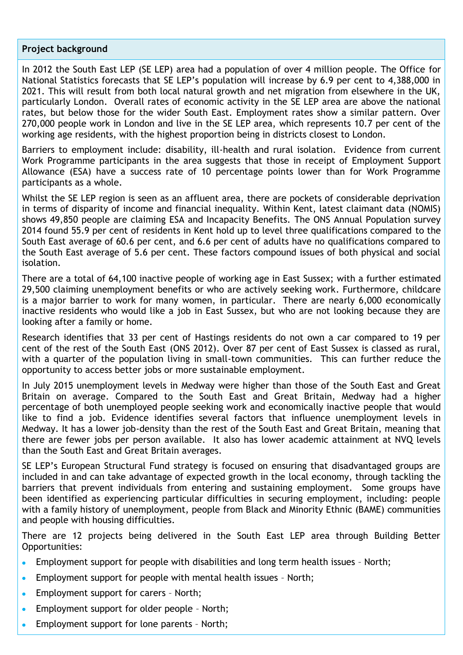#### **Project background**

In 2012 the South East LEP (SE LEP) area had a population of over 4 million people. The Office for National Statistics forecasts that SE LEP's population will increase by 6.9 per cent to 4,388,000 in 2021. This will result from both local natural growth and net migration from elsewhere in the UK, particularly London. Overall rates of economic activity in the SE LEP area are above the national rates, but below those for the wider South East. Employment rates show a similar pattern. Over 270,000 people work in London and live in the SE LEP area, which represents 10.7 per cent of the working age residents, with the highest proportion being in districts closest to London.

Barriers to employment include: disability, ill-health and rural isolation. Evidence from current Work Programme participants in the area suggests that those in receipt of Employment Support Allowance (ESA) have a success rate of 10 percentage points lower than for Work Programme participants as a whole.

Whilst the SE LEP region is seen as an affluent area, there are pockets of considerable deprivation in terms of disparity of income and financial inequality. Within Kent, latest claimant data (NOMIS) shows 49,850 people are claiming ESA and Incapacity Benefits. The ONS Annual Population survey 2014 found 55.9 per cent of residents in Kent hold up to level three qualifications compared to the South East average of 60.6 per cent, and 6.6 per cent of adults have no qualifications compared to the South East average of 5.6 per cent. These factors compound issues of both physical and social isolation.

There are a total of 64,100 inactive people of working age in East Sussex; with a further estimated 29,500 claiming unemployment benefits or who are actively seeking work. Furthermore, childcare is a major barrier to work for many women, in particular. There are nearly 6,000 economically inactive residents who would like a job in East Sussex, but who are not looking because they are looking after a family or home.

Research identifies that 33 per cent of Hastings residents do not own a car compared to 19 per cent of the rest of the South East (ONS 2012). Over 87 per cent of East Sussex is classed as rural, with a quarter of the population living in small-town communities. This can further reduce the opportunity to access better jobs or more sustainable employment.

In July 2015 unemployment levels in Medway were higher than those of the South East and Great Britain on average. Compared to the South East and Great Britain, Medway had a higher percentage of both unemployed people seeking work and economically inactive people that would like to find a job. Evidence identifies several factors that influence unemployment levels in Medway. It has a lower job-density than the rest of the South East and Great Britain, meaning that there are fewer jobs per person available. It also has lower academic attainment at NVQ levels than the South East and Great Britain averages.

SE LEP's European Structural Fund strategy is focused on ensuring that disadvantaged groups are included in and can take advantage of expected growth in the local economy, through tackling the barriers that prevent individuals from entering and sustaining employment. Some groups have been identified as experiencing particular difficulties in securing employment, including: people with a family history of unemployment, people from Black and Minority Ethnic (BAME) communities and people with housing difficulties.

There are 12 projects being delivered in the South East LEP area through Building Better Opportunities:

- Employment support for people with disabilities and long term health issues North;
- Employment support for people with mental health issues North;
- Employment support for carers North;
- Employment support for older people North;
- Employment support for lone parents North;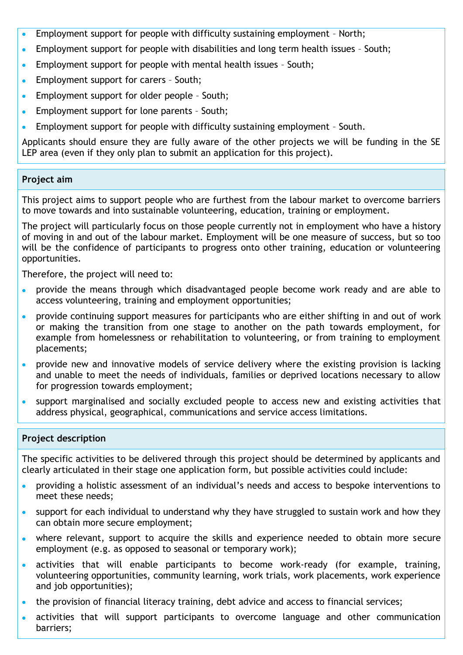- Employment support for people with difficulty sustaining employment North;
- Employment support for people with disabilities and long term health issues South;  $\bullet$
- Employment support for people with mental health issues South;  $\bullet$
- Employment support for carers South;
- Employment support for older people South;
- Employment support for lone parents South;
- Employment support for people with difficulty sustaining employment South.  $\bullet$

Applicants should ensure they are fully aware of the other projects we will be funding in the SE LEP area (even if they only plan to submit an application for this project).

#### **Project aim**

This project aims to support people who are furthest from the labour market to overcome barriers to move towards and into sustainable volunteering, education, training or employment.

The project will particularly focus on those people currently not in employment who have a history of moving in and out of the labour market. Employment will be one measure of success, but so too will be the confidence of participants to progress onto other training, education or volunteering opportunities.

Therefore, the project will need to:

- provide the means through which disadvantaged people become work ready and are able to access volunteering, training and employment opportunities;
- provide continuing support measures for participants who are either shifting in and out of work or making the transition from one stage to another on the path towards employment, for example from homelessness or rehabilitation to volunteering, or from training to employment placements;
- provide new and innovative models of service delivery where the existing provision is lacking  $\bullet$ and unable to meet the needs of individuals, families or deprived locations necessary to allow for progression towards employment;
- support marginalised and socially excluded people to access new and existing activities that address physical, geographical, communications and service access limitations.

#### **Project description**

The specific activities to be delivered through this project should be determined by applicants and clearly articulated in their stage one application form, but possible activities could include:

- providing a holistic assessment of an individual's needs and access to bespoke interventions to  $\bullet$ meet these needs;
- support for each individual to understand why they have struggled to sustain work and how they  $\bullet$ can obtain more secure employment;
- where relevant, support to acquire the skills and experience needed to obtain more secure  $\bullet$ employment (e.g. as opposed to seasonal or temporary work);
- activities that will enable participants to become work-ready (for example, training,  $\bullet$ volunteering opportunities, community learning, work trials, work placements, work experience and job opportunities);
- the provision of financial literacy training, debt advice and access to financial services;
- activities that will support participants to overcome language and other communication barriers;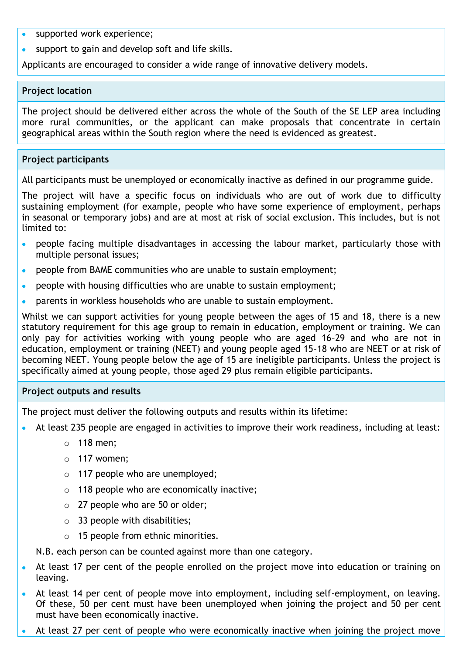- supported work experience;
- support to gain and develop soft and life skills.

Applicants are encouraged to consider a wide range of innovative delivery models.

#### **Project location**

The project should be delivered either across the whole of the South of the SE LEP area including more rural communities, or the applicant can make proposals that concentrate in certain geographical areas within the South region where the need is evidenced as greatest.

#### **Project participants**

All participants must be unemployed or economically inactive as defined in our programme guide.

The project will have a specific focus on individuals who are out of work due to difficulty sustaining employment (for example, people who have some experience of employment, perhaps in seasonal or temporary jobs) and are at most at risk of social exclusion. This includes, but is not limited to:

- people facing multiple disadvantages in accessing the labour market, particularly those with multiple personal issues;
- **•** people from BAME communities who are unable to sustain employment:
- people with housing difficulties who are unable to sustain employment;
- parents in workless households who are unable to sustain employment.  $\bullet$

Whilst we can support activities for young people between the ages of 15 and 18, there is a new statutory requirement for this age group to remain in education, employment or training. We can only pay for activities working with young people who are aged 16–29 and who are not in education, employment or training (NEET) and young people aged 15-18 who are NEET or at risk of becoming NEET. Young people below the age of 15 are ineligible participants. Unless the project is specifically aimed at young people, those aged 29 plus remain eligible participants.

#### **Project outputs and results**

The project must deliver the following outputs and results within its lifetime:

- At least 235 people are engaged in activities to improve their work readiness, including at least:
	- o 118 men;
	- $\circ$  117 women:
	- o 117 people who are unemployed;
	- o 118 people who are economically inactive;
	- o 27 people who are 50 or older;
	- $\circ$  33 people with disabilities;
	- o 15 people from ethnic minorities.

N.B. each person can be counted against more than one category.

- At least 17 per cent of the people enrolled on the project move into education or training on leaving.
- At least 14 per cent of people move into employment, including self-employment, on leaving. Of these, 50 per cent must have been unemployed when joining the project and 50 per cent must have been economically inactive.
- At least 27 per cent of people who were economically inactive when joining the project move